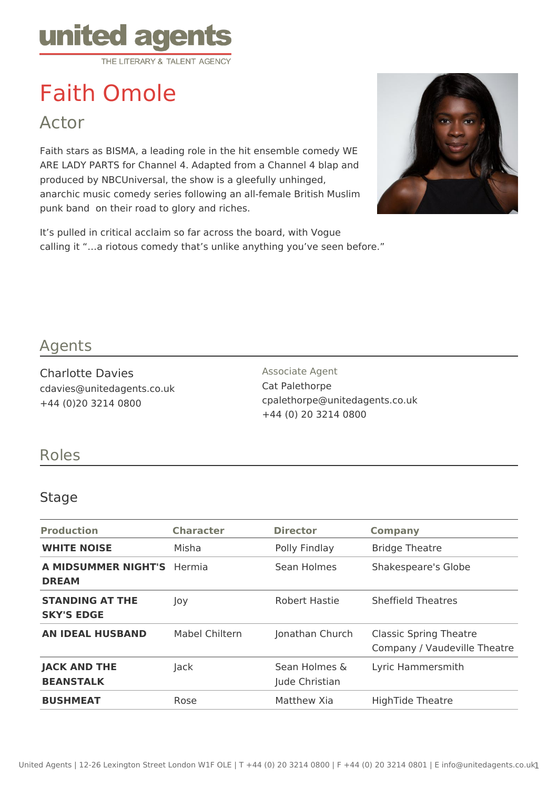

# Faith Omole

Actor

Faith stars as BISMA, a leading role in the hit ensemble comedy WE ARE LADY PARTS for Channel 4. Adapted from a Channel 4 blap and produced by NBCUniversal, the show is a gleefully unhinged, anarchic music comedy series following an all-female British Muslim punk band on their road to glory and riches.

It's pulled in critical acclaim so far across the board, with Vogue calling it "…a riotous comedy that's unlike anything you've seen before."



## Agents

Charlotte Davies cdavies@unitedagents.co.uk +44 (0)20 3214 0800

Associate Agent Cat Palethorpe cpalethorpe@unitedagents.co.uk +44 (0) 20 3214 0800

### Roles

#### Stage

| <b>Production</b>                           | <b>Character</b> | <b>Director</b>                 | <b>Company</b>                                                |
|---------------------------------------------|------------------|---------------------------------|---------------------------------------------------------------|
| <b>WHITE NOISE</b>                          | Misha            | Polly Findlay                   | <b>Bridge Theatre</b>                                         |
| <b>A MIDSUMMER NIGHT'S</b><br><b>DREAM</b>  | Hermia           | Sean Holmes                     | Shakespeare's Globe                                           |
| <b>STANDING AT THE</b><br><b>SKY'S EDGE</b> | Joy              | Robert Hastie                   | <b>Sheffield Theatres</b>                                     |
| <b>AN IDEAL HUSBAND</b>                     | Mabel Chiltern   | Jonathan Church                 | <b>Classic Spring Theatre</b><br>Company / Vaudeville Theatre |
| <b>JACK AND THE</b><br><b>BEANSTALK</b>     | <b>Jack</b>      | Sean Holmes &<br>Jude Christian | Lyric Hammersmith                                             |
| <b>BUSHMEAT</b>                             | Rose             | Matthew Xia                     | <b>HighTide Theatre</b>                                       |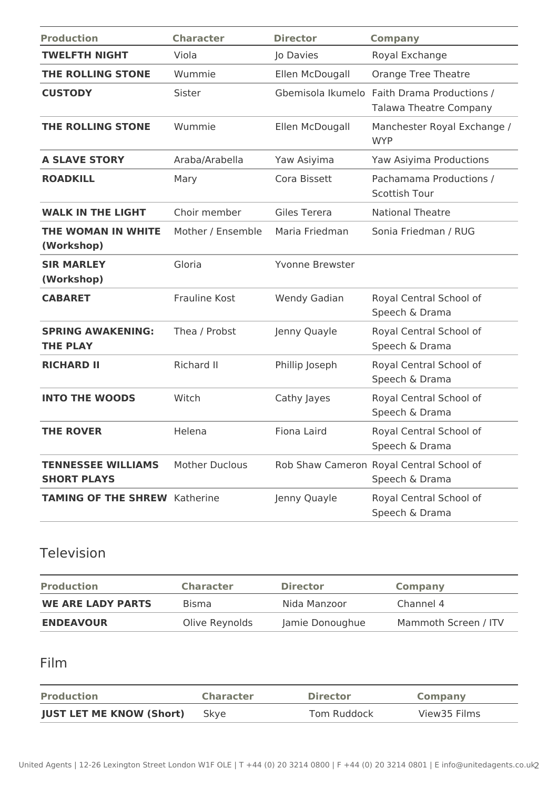| <b>Production</b>                               | <b>Character</b>      | <b>Director</b>        | <b>Company</b>                                                               |
|-------------------------------------------------|-----------------------|------------------------|------------------------------------------------------------------------------|
| <b>TWELFTH NIGHT</b>                            | Viola                 | Jo Davies              | Royal Exchange                                                               |
| <b>THE ROLLING STONE</b>                        | Wummie                | Ellen McDougall        | <b>Orange Tree Theatre</b>                                                   |
| <b>CUSTODY</b>                                  | Sister                |                        | Gbemisola Ikumelo Faith Drama Productions /<br><b>Talawa Theatre Company</b> |
| <b>THE ROLLING STONE</b>                        | Wummie                | Ellen McDougall        | Manchester Royal Exchange /<br><b>WYP</b>                                    |
| <b>A SLAVE STORY</b>                            | Araba/Arabella        | Yaw Asiyima            | Yaw Asiyima Productions                                                      |
| <b>ROADKILL</b>                                 | Mary                  | Cora Bissett           | Pachamama Productions /<br>Scottish Tour                                     |
| <b>WALK IN THE LIGHT</b>                        | Choir member          | Giles Terera           | <b>National Theatre</b>                                                      |
| THE WOMAN IN WHITE<br>(Workshop)                | Mother / Ensemble     | Maria Friedman         | Sonia Friedman / RUG                                                         |
| <b>SIR MARLEY</b><br>(Workshop)                 | Gloria                | <b>Yvonne Brewster</b> |                                                                              |
| <b>CABARET</b>                                  | <b>Frauline Kost</b>  | Wendy Gadian           | Royal Central School of<br>Speech & Drama                                    |
| <b>SPRING AWAKENING:</b><br><b>THE PLAY</b>     | Thea / Probst         | Jenny Quayle           | Royal Central School of<br>Speech & Drama                                    |
| <b>RICHARD II</b>                               | Richard II            | Phillip Joseph         | Royal Central School of<br>Speech & Drama                                    |
| <b>INTO THE WOODS</b>                           | Witch                 | Cathy Jayes            | Royal Central School of<br>Speech & Drama                                    |
| <b>THE ROVER</b>                                | Helena                | <b>Fiona Laird</b>     | Royal Central School of<br>Speech & Drama                                    |
| <b>TENNESSEE WILLIAMS</b><br><b>SHORT PLAYS</b> | <b>Mother Duclous</b> |                        | Rob Shaw Cameron Royal Central School of<br>Speech & Drama                   |
| <b>TAMING OF THE SHREW Katherine</b>            |                       | Jenny Quayle           | Royal Central School of<br>Speech & Drama                                    |

## Television

| <b>Production</b>        | <b>Character</b> | <b>Director</b> | <b>Company</b>       |
|--------------------------|------------------|-----------------|----------------------|
| <b>WE ARE LADY PARTS</b> | <b>Bisma</b>     | Nida Manzoor    | Channel 4            |
| <b>ENDEAVOUR</b>         | Olive Reynolds   | Jamie Donoughue | Mammoth Screen / ITV |

## Film

| <b>Production</b>               | <b>Character</b> | <b>Director</b> | Company      |
|---------------------------------|------------------|-----------------|--------------|
| <b>JUST LET ME KNOW (Short)</b> | Skve             | Tom Ruddock     | View35 Films |